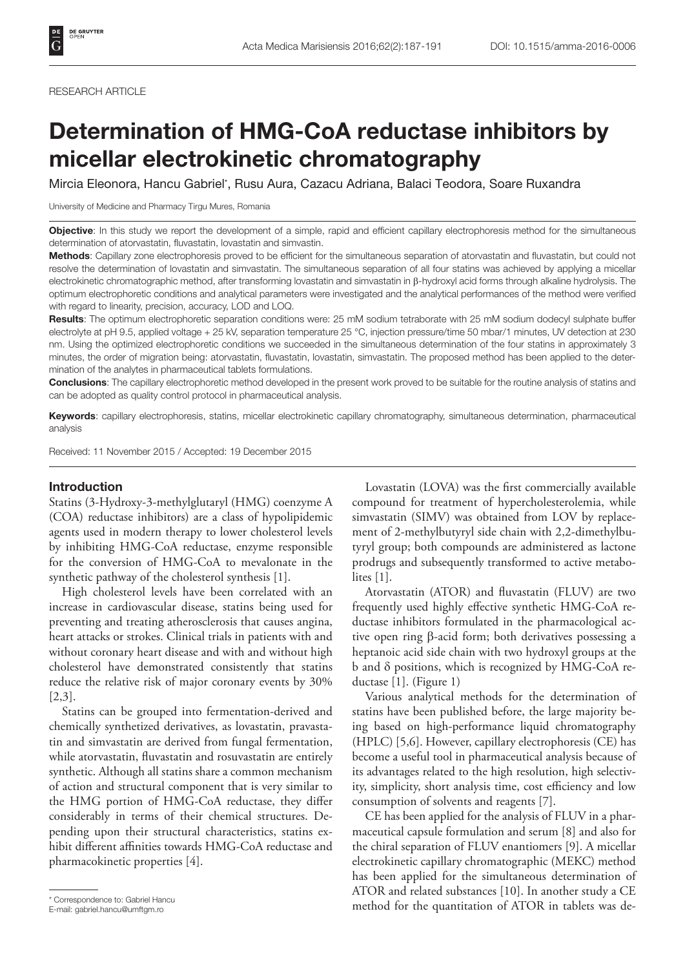#### RESEARCH ARTICLE

# Determination of HMG-CoA reductase inhibitors by micellar electrokinetic chromatography

Mircia Eleonora, Hancu Gabriel\* , Rusu Aura, Cazacu Adriana, Balaci Teodora, Soare Ruxandra

University of Medicine and Pharmacy Tirgu Mures, Romania

Objective: In this study we report the development of a simple, rapid and efficient capillary electrophoresis method for the simultaneous determination of atorvastatin, fluvastatin, lovastatin and simvastin.

Methods: Capillary zone electrophoresis proved to be efficient for the simultaneous separation of atorvastatin and fluvastatin, but could not resolve the determination of lovastatin and simvastatin. The simultaneous separation of all four statins was achieved by applying a micellar electrokinetic chromatographic method, after transforming lovastatin and simvastatin in β-hydroxyl acid forms through alkaline hydrolysis. The optimum electrophoretic conditions and analytical parameters were investigated and the analytical performances of the method were verified with regard to linearity, precision, accuracy, LOD and LOQ.

Results: The optimum electrophoretic separation conditions were: 25 mM sodium tetraborate with 25 mM sodium dodecyl sulphate buffer electrolyte at pH 9.5, applied voltage + 25 kV, separation temperature 25 °C, injection pressure/time 50 mbar/1 minutes, UV detection at 230 nm. Using the optimized electrophoretic conditions we succeeded in the simultaneous determination of the four statins in approximately 3 minutes, the order of migration being: atorvastatin, fluvastatin, lovastatin, simvastatin. The proposed method has been applied to the determination of the analytes in pharmaceutical tablets formulations.

Conclusions: The capillary electrophoretic method developed in the present work proved to be suitable for the routine analysis of statins and can be adopted as quality control protocol in pharmaceutical analysis.

Keywords: capillary electrophoresis, statins, micellar electrokinetic capillary chromatography, simultaneous determination, pharmaceutical analysis

Received: 11 November 2015 / Accepted: 19 December 2015

#### Introduction

Statins (3-Hydroxy-3-methylglutaryl (HMG) coenzyme A (COA) reductase inhibitors) are a class of hypolipidemic agents used in modern therapy to lower cholesterol levels by inhibiting HMG-CoA reductase, enzyme responsible for the conversion of HMG-CoA to mevalonate in the synthetic pathway of the cholesterol synthesis [1].

High cholesterol levels have been correlated with an increase in cardiovascular disease, statins being used for preventing and treating atherosclerosis that causes angina, heart attacks or strokes. Clinical trials in patients with and without coronary heart disease and with and without high cholesterol have demonstrated consistently that statins reduce the relative risk of major coronary events by 30% [2,3].

Statins can be grouped into fermentation-derived and chemically synthetized derivatives, as lovastatin, pravastatin and simvastatin are derived from fungal fermentation, while atorvastatin, fluvastatin and rosuvastatin are entirely synthetic. Although all statins share a common mechanism of action and structural component that is very similar to the HMG portion of HMG-CoA reductase, they differ considerably in terms of their chemical structures. Depending upon their structural characteristics, statins exhibit different affinities towards HMG-CoA reductase and pharmacokinetic properties [4].

Lovastatin (LOVA) was the first commercially available compound for treatment of hypercholesterolemia, while simvastatin (SIMV) was obtained from LOV by replacement of 2-methylbutyryl side chain with 2,2-dimethylbutyryl group; both compounds are administered as lactone prodrugs and subsequently transformed to active metabolites [1].

Atorvastatin (ATOR) and fluvastatin (FLUV) are two frequently used highly effective synthetic HMG-CoA reductase inhibitors formulated in the pharmacological active open ring β-acid form; both derivatives possessing a heptanoic acid side chain with two hydroxyl groups at the b and δ positions, which is recognized by HMG-CoA reductase [1]. (Figure 1)

Various analytical methods for the determination of statins have been published before, the large majority being based on high-performance liquid chromatography (HPLC) [5,6]. However, capillary electrophoresis (CE) has become a useful tool in pharmaceutical analysis because of its advantages related to the high resolution, high selectivity, simplicity, short analysis time, cost efficiency and low consumption of solvents and reagents [7].

CE has been applied for the analysis of FLUV in a pharmaceutical capsule formulation and serum [8] and also for the chiral separation of FLUV enantiomers [9]. A micellar electrokinetic capillary chromatographic (MEKC) method has been applied for the simultaneous determination of ATOR and related substances [10]. In another study a CE \* Correspondence to: Gabriel Hancu<br>
F-mail: gabriel.hancu@umftgm.ro<br>
F-mail: gabriel.hancu@umftgm.ro

E-mail: gabriel.hancu@umftgm.ro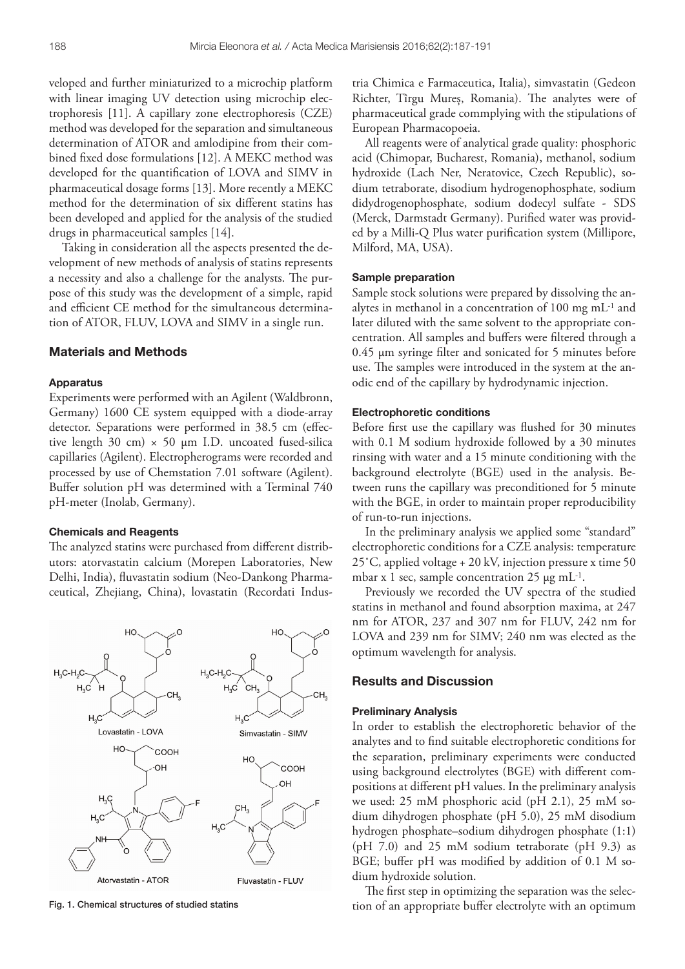veloped and further miniaturized to a microchip platform with linear imaging UV detection using microchip electrophoresis [11]. A capillary zone electrophoresis (CZE) method was developed for the separation and simultaneous determination of ATOR and amlodipine from their combined fixed dose formulations [12]. A MEKC method was developed for the quantification of LOVA and SIMV in pharmaceutical dosage forms [13]. More recently a MEKC method for the determination of six different statins has been developed and applied for the analysis of the studied drugs in pharmaceutical samples [14].

Taking in consideration all the aspects presented the development of new methods of analysis of statins represents a necessity and also a challenge for the analysts. The purpose of this study was the development of a simple, rapid and efficient CE method for the simultaneous determination of ATOR, FLUV, LOVA and SIMV in a single run.

## Materials and Methods

## Apparatus

Experiments were performed with an Agilent (Waldbronn, Germany) 1600 CE system equipped with a diode-array detector. Separations were performed in 38.5 cm (effective length 30 cm)  $\times$  50 µm I.D. uncoated fused-silica capillaries (Agilent). Electropherograms were recorded and processed by use of Chemstation 7.01 software (Agilent). Buffer solution pH was determined with a Terminal 740 pH-meter (Inolab, Germany).

#### Chemicals and Reagents

The analyzed statins were purchased from different distributors: atorvastatin calcium (Morepen Laboratories, New Delhi, India), fluvastatin sodium (Neo-Dankong Pharmaceutical, Zhejiang, China), lovastatin (Recordati Indus-



tria Chimica e Farmaceutica, Italia), simvastatin (Gedeon Richter, Tîrgu Mureș, Romania). The analytes were of pharmaceutical grade commplying with the stipulations of European Pharmacopoeia.

All reagents were of analytical grade quality: phosphoric acid (Chimopar, Bucharest, Romania), methanol, sodium hydroxide (Lach Ner, Neratovice, Czech Republic), sodium tetraborate, disodium hydrogenophosphate, sodium didydrogenophosphate, sodium dodecyl sulfate - SDS (Merck, Darmstadt Germany). Purified water was provided by a Milli-Q Plus water purification system (Millipore, Milford, MA, USA).

#### Sample preparation

Sample stock solutions were prepared by dissolving the analytes in methanol in a concentration of 100 mg mL-1 and later diluted with the same solvent to the appropriate concentration. All samples and buffers were filtered through a 0.45 µm syringe filter and sonicated for 5 minutes before use. The samples were introduced in the system at the anodic end of the capillary by hydrodynamic injection.

## Electrophoretic conditions

Before first use the capillary was flushed for 30 minutes with 0.1 M sodium hydroxide followed by a 30 minutes rinsing with water and a 15 minute conditioning with the background electrolyte (BGE) used in the analysis. Between runs the capillary was preconditioned for 5 minute with the BGE, in order to maintain proper reproducibility of run-to-run injections.

In the preliminary analysis we applied some "standard" electrophoretic conditions for a CZE analysis: temperature 25˚C, applied voltage + 20 kV, injection pressure x time 50 mbar x 1 sec, sample concentration  $25 \mu g$  mL<sup>-1</sup>.

Previously we recorded the UV spectra of the studied statins in methanol and found absorption maxima, at 247 nm for ATOR, 237 and 307 nm for FLUV, 242 nm for LOVA and 239 nm for SIMV; 240 nm was elected as the optimum wavelength for analysis.

## Results and Discussion

### Preliminary Analysis

In order to establish the electrophoretic behavior of the analytes and to find suitable electrophoretic conditions for the separation, preliminary experiments were conducted using background electrolytes (BGE) with different compositions at different pH values. In the preliminary analysis we used: 25 mM phosphoric acid (pH 2.1), 25 mM sodium dihydrogen phosphate (pH 5.0), 25 mM disodium hydrogen phosphate–sodium dihydrogen phosphate (1:1) (pH 7.0) and 25 mM sodium tetraborate (pH 9.3) as BGE; buffer pH was modified by addition of 0.1 M sodium hydroxide solution.

The first step in optimizing the separation was the selec-Fig. 1. Chemical structures of studied statins tion of an appropriate buffer electrolyte with an optimum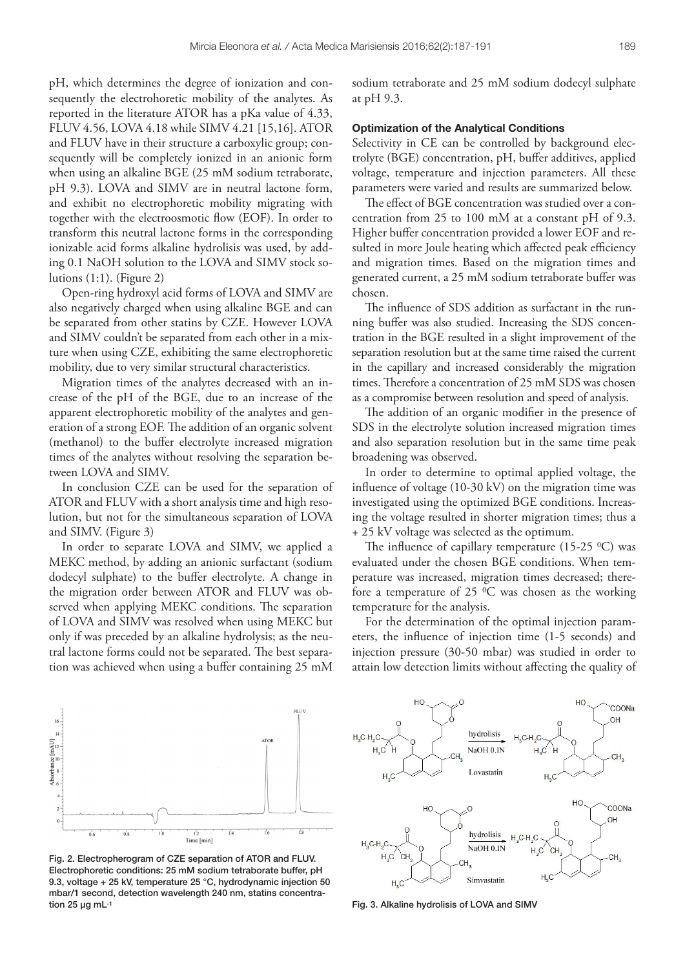pH, which determines the degree of ionization and consequently the electrohoretic mobility of the analytes. As reported in the literature ATOR has a pKa value of 4.33, FLUV 4.56, LOVA 4.18 while SIMV 4.21 [15,16]. ATOR and FLUV have in their structure a carboxylic group; consequently will be completely ionized in an anionic form when using an alkaline BGE (25 mM sodium tetraborate, pH 9.3). LOVA and SIMV are in neutral lactone form, and exhibit no electrophoretic mobility migrating with together with the electroosmotic flow (EOF). In order to transform this neutral lactone forms in the corresponding ionizable acid forms alkaline hydrolisis was used, by adding 0.1 NaOH solution to the LOVA and SIMV stock solutions  $(1:1)$ . (Figure 2)

Open-ring hydroxyl acid forms of LOVA and SIMV are also negatively charged when using alkaline BGE and can be separated from other statins by CZE. However LOVA and SIMV couldn't be separated from each other in a mixture when using CZE, exhibiting the same electrophoretic mobility, due to very similar structural characteristics.

Migration times of the analytes decreased with an increase of the pH of the BGE, due to an increase of the apparent electrophoretic mobility of the analytes and generation of a strong EOF. The addition of an organic solvent (methanol) to the buffer electrolyte increased migration times of the analytes without resolving the separation between LOVA and SIMV.

In conclusion CZE can be used for the separation of ATOR and FLUV with a short analysis time and high resolution, but not for the simultaneous separation of LOVA and SIMV. (Figure 3)

In order to separate LOVA and SIMV, we applied a MEKC method, by adding an anionic surfactant (sodium dodecyl sulphate) to the buffer electrolyte. A change in the migration order between ATOR and FLUV was observed when applying MEKC conditions. The separation of LOVA and SIMV was resolved when using MEKC but only if was preceded by an alkaline hydrolysis; as the neutral lactone forms could not be separated. The best separation was achieved when using a buffer containing 25 mM sodium tetraborate and 25 mM sodium dodecyl sulphate at pH 9.3.

#### Optimization of the Analytical Conditions

Selectivity in CE can be controlled by background electrolyte (BGE) concentration, pH, buffer additives, applied voltage, temperature and injection parameters. All these parameters were varied and results are summarized below.

The effect of BGE concentration was studied over a concentration from 25 to 100 mM at a constant pH of 9.3. Higher buffer concentration provided a lower EOF and resulted in more Joule heating which affected peak efficiency and migration times. Based on the migration times and generated current, a 25 mM sodium tetraborate buffer was chosen.

The influence of SDS addition as surfactant in the running buffer was also studied. Increasing the SDS concentration in the BGE resulted in a slight improvement of the separation resolution but at the same time raised the current in the capillary and increased considerably the migration times. Therefore a concentration of 25 mM SDS was chosen as a compromise between resolution and speed of analysis.

The addition of an organic modifier in the presence of SDS in the electrolyte solution increased migration times and also separation resolution but in the same time peak broadening was observed.

In order to determine to optimal applied voltage, the influence of voltage (10-30 kV) on the migration time was investigated using the optimized BGE conditions. Increasing the voltage resulted in shorter migration times; thus a + 25 kV voltage was selected as the optimum.

The influence of capillary temperature (15-25  $^{\circ}$ C) was evaluated under the chosen BGE conditions. When temperature was increased, migration times decreased; therefore a temperature of 25 0C was chosen as the working temperature for the analysis.

For the determination of the optimal injection parameters, the influence of injection time (1-5 seconds) and injection pressure (30-50 mbar) was studied in order to attain low detection limits without affecting the quality of



Fig. 2. Electropherogram of CZE separation of ATOR and FLUV. Electrophoretic conditions: 25 mM sodium tetraborate buffer, pH 9.3, voltage + 25 kV, temperature 25 °C, hydrodynamic injection 50 mbar/1 second, detection wavelength 240 nm, statins concentration 25 ug mL<sup>-1</sup> tion 25 ug mL<sup>-1</sup> Fig. 3. Alkaline hydrolisis of LOVA and SIMV

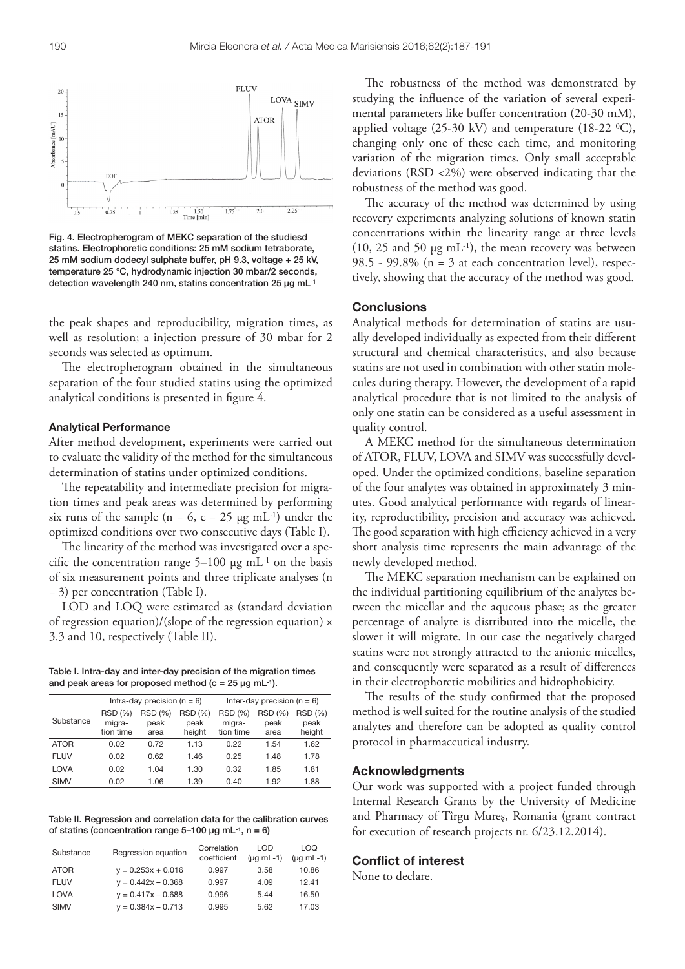

Fig. 4. Electropherogram of MEKC separation of the studiesd statins. Electrophoretic conditions: 25 mM sodium tetraborate, 25 mM sodium dodecyl sulphate buffer, pH 9.3, voltage + 25 kV, temperature 25 °C, hydrodynamic injection 30 mbar/2 seconds, detection wavelength 240 nm, statins concentration 25 µg mL-1

the peak shapes and reproducibility, migration times, as well as resolution; a injection pressure of 30 mbar for 2 seconds was selected as optimum.

The electropherogram obtained in the simultaneous separation of the four studied statins using the optimized analytical conditions is presented in figure 4.

## Analytical Performance

After method development, experiments were carried out to evaluate the validity of the method for the simultaneous determination of statins under optimized conditions.

The repeatability and intermediate precision for migration times and peak areas was determined by performing six runs of the sample (n = 6, c = 25  $\mu$ g mL<sup>-1</sup>) under the optimized conditions over two consecutive days (Table I).

The linearity of the method was investigated over a specific the concentration range  $5-100 \mu g$  mL<sup>-1</sup> on the basis of six measurement points and three triplicate analyses (n = 3) per concentration (Table I).

LOD and LOQ were estimated as (standard deviation of regression equation)/(slope of the regression equation)  $\times$ 3.3 and 10, respectively (Table II).

Table I. Intra-day and inter-day precision of the migration times and peak areas for proposed method ( $c = 25 \mu g$  mL-1).

|             | Intra-day precision ( $n = 6$ ) |                        |                 | Inter-day precision ( $n = 6$ ) |                        |                        |
|-------------|---------------------------------|------------------------|-----------------|---------------------------------|------------------------|------------------------|
| Substance   | <b>RSD (%)</b><br>migra-        | <b>RSD (%)</b><br>peak | RSD (%)<br>peak | <b>RSD (%)</b><br>migra-        | <b>RSD (%)</b><br>peak | <b>RSD (%)</b><br>peak |
|             | tion time                       | area                   | height          | tion time                       | area                   | height                 |
| <b>ATOR</b> | 0.02                            | 0.72                   | 1.13            | 0.22                            | 1.54                   | 1.62                   |
| <b>FLUV</b> | 0.02                            | 0.62                   | 1.46            | 0.25                            | 1.48                   | 1.78                   |
| LOVA        | 0.02                            | 1.04                   | 1.30            | 0.32                            | 1.85                   | 1.81                   |
| <b>SIMV</b> | 0.02                            | 1.06                   | 1.39            | 0.40                            | 1.92                   | 1.88                   |

Table II. Regression and correlation data for the calibration curves of statins (concentration range  $5-100$  ug mL $^{-1}$ , n = 6)

| Substance   | Regression equation  | Correlation<br>coefficient | I OD<br>$(µq mL-1)$ | LOQ<br>$(µq mL-1)$ |
|-------------|----------------------|----------------------------|---------------------|--------------------|
| <b>ATOR</b> | $y = 0.253x + 0.016$ | 0.997                      | 3.58                | 10.86              |
| <b>FLUV</b> | $y = 0.442x - 0.368$ | 0.997                      | 4.09                | 12.41              |
| LOVA        | $y = 0.417x - 0.688$ | 0.996                      | 5.44                | 16.50              |
| <b>SIMV</b> | $y = 0.384x - 0.713$ | 0.995                      | 5.62                | 17.03              |

The robustness of the method was demonstrated by studying the influence of the variation of several experimental parameters like buffer concentration (20-30 mM), applied voltage (25-30 kV) and temperature (18-22  $\,^{\circ}$ C), changing only one of these each time, and monitoring variation of the migration times. Only small acceptable deviations (RSD <2%) were observed indicating that the robustness of the method was good.

The accuracy of the method was determined by using recovery experiments analyzing solutions of known statin concentrations within the linearity range at three levels  $(10, 25 \text{ and } 50 \text{ µg m}L^{-1})$ , the mean recovery was between 98.5 - 99.8% (n = 3 at each concentration level), respectively, showing that the accuracy of the method was good.

## **Conclusions**

Analytical methods for determination of statins are usually developed individually as expected from their different structural and chemical characteristics, and also because statins are not used in combination with other statin molecules during therapy. However, the development of a rapid analytical procedure that is not limited to the analysis of only one statin can be considered as a useful assessment in quality control.

A MEKC method for the simultaneous determination of ATOR, FLUV, LOVA and SIMV was successfully developed. Under the optimized conditions, baseline separation of the four analytes was obtained in approximately 3 minutes. Good analytical performance with regards of linearity, reproductibility, precision and accuracy was achieved. The good separation with high efficiency achieved in a very short analysis time represents the main advantage of the newly developed method.

The MEKC separation mechanism can be explained on the individual partitioning equilibrium of the analytes between the micellar and the aqueous phase; as the greater percentage of analyte is distributed into the micelle, the slower it will migrate. In our case the negatively charged statins were not strongly attracted to the anionic micelles, and consequently were separated as a result of differences in their electrophoretic mobilities and hidrophobicity.

The results of the study confirmed that the proposed method is well suited for the routine analysis of the studied analytes and therefore can be adopted as quality control protocol in pharmaceutical industry.

#### Acknowledgments

Our work was supported with a project funded through Internal Research Grants by the University of Medicine and Pharmacy of Tîrgu Mureş, Romania (grant contract for execution of research projects nr. 6/23.12.2014).

## Conflict of interest

None to declare.